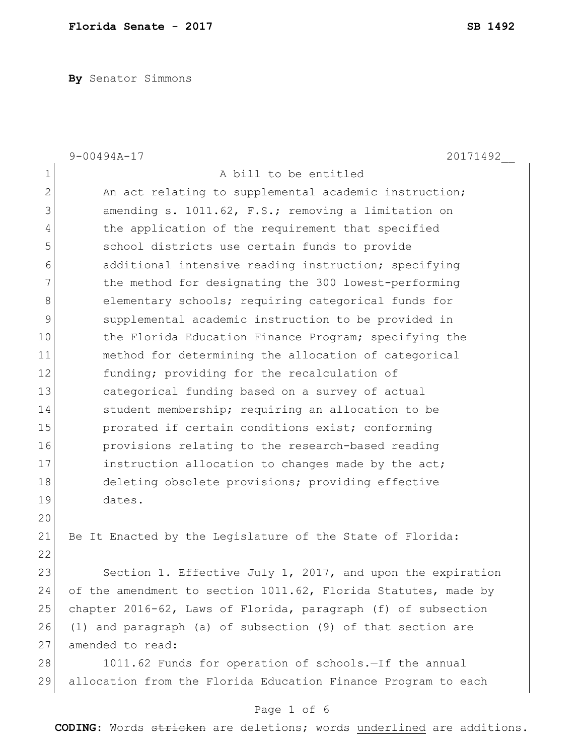**By** Senator Simmons

|                | $9 - 00494A - 17$<br>20171492                                  |
|----------------|----------------------------------------------------------------|
| $\mathbf 1$    | A bill to be entitled                                          |
| $\mathbf{2}$   | An act relating to supplemental academic instruction;          |
| $\mathfrak{Z}$ | amending s. 1011.62, F.S.; removing a limitation on            |
| 4              | the application of the requirement that specified              |
| 5              | school districts use certain funds to provide                  |
| 6              | additional intensive reading instruction; specifying           |
| 7              | the method for designating the 300 lowest-performing           |
| $\,8\,$        | elementary schools; requiring categorical funds for            |
| $\mathcal{G}$  | supplemental academic instruction to be provided in            |
| 10             | the Florida Education Finance Program; specifying the          |
| 11             | method for determining the allocation of categorical           |
| 12             | funding; providing for the recalculation of                    |
| 13             | categorical funding based on a survey of actual                |
| 14             | student membership; requiring an allocation to be              |
| 15             | prorated if certain conditions exist; conforming               |
| 16             | provisions relating to the research-based reading              |
| 17             | instruction allocation to changes made by the act;             |
| 18             | deleting obsolete provisions; providing effective              |
| 19             | dates.                                                         |
| 20             |                                                                |
| 21             | Be It Enacted by the Legislature of the State of Florida:      |
| 22             |                                                                |
| 23             | Section 1. Effective July 1, 2017, and upon the expiration     |
| 24             | of the amendment to section 1011.62, Florida Statutes, made by |
| 25             | chapter 2016-62, Laws of Florida, paragraph (f) of subsection  |
| 26             | (1) and paragraph (a) of subsection (9) of that section are    |
| 27             | amended to read:                                               |
| 28             | 1011.62 Funds for operation of schools.-If the annual          |
| 29             | allocation from the Florida Education Finance Program to each  |
|                |                                                                |

## Page 1 of 6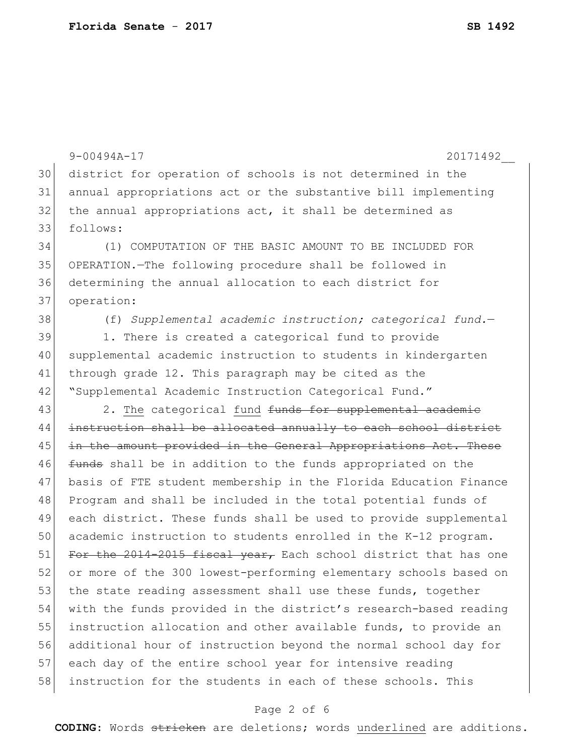9-00494A-17 20171492\_\_ 30 district for operation of schools is not determined in the 31 annual appropriations act or the substantive bill implementing 32 the annual appropriations act, it shall be determined as 33 follows: 34 (1) COMPUTATION OF THE BASIC AMOUNT TO BE INCLUDED FOR 35 OPERATION.—The following procedure shall be followed in 36 determining the annual allocation to each district for 37 operation: 38 (f) *Supplemental academic instruction; categorical fund.*— 39 1. There is created a categorical fund to provide 40 supplemental academic instruction to students in kindergarten 41 through grade 12. This paragraph may be cited as the 42 Supplemental Academic Instruction Categorical Fund." 43 2. The categorical fund <del>funds for supplemental academic</del> 44 instruction shall be allocated annually to each school district 45 in the amount provided in the General Appropriations Act. These 46 <del>funds</del> shall be in addition to the funds appropriated on the 47 basis of FTE student membership in the Florida Education Finance 48 Program and shall be included in the total potential funds of 49 each district. These funds shall be used to provide supplemental 50 academic instruction to students enrolled in the K-12 program. 51 For the 2014-2015 fiscal year, Each school district that has one 52 or more of the 300 lowest-performing elementary schools based on 53 the state reading assessment shall use these funds, together 54 with the funds provided in the district's research-based reading 55 instruction allocation and other available funds, to provide an 56 additional hour of instruction beyond the normal school day for 57 each day of the entire school year for intensive reading 58 instruction for the students in each of these schools. This

### Page 2 of 6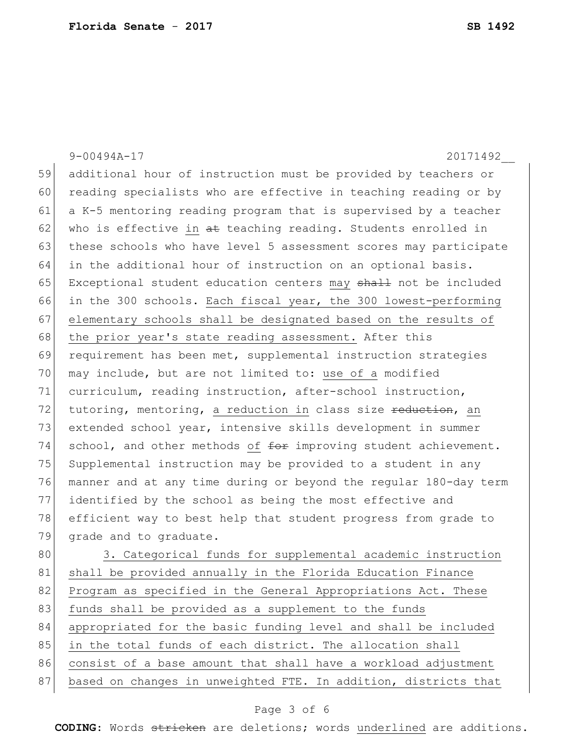|    | $9 - 00494A - 17$<br>20171492                                    |
|----|------------------------------------------------------------------|
| 59 | additional hour of instruction must be provided by teachers or   |
| 60 | reading specialists who are effective in teaching reading or by  |
| 61 | a K-5 mentoring reading program that is supervised by a teacher  |
| 62 | who is effective in at teaching reading. Students enrolled in    |
| 63 | these schools who have level 5 assessment scores may participate |
| 64 | in the additional hour of instruction on an optional basis.      |
| 65 | Exceptional student education centers may shall not be included  |
| 66 | in the 300 schools. Each fiscal year, the 300 lowest-performing  |
| 67 | elementary schools shall be designated based on the results of   |
| 68 | the prior year's state reading assessment. After this            |
| 69 | requirement has been met, supplemental instruction strategies    |
| 70 | may include, but are not limited to: use of a modified           |
| 71 | curriculum, reading instruction, after-school instruction,       |
| 72 | tutoring, mentoring, a reduction in class size reduction, an     |
| 73 | extended school year, intensive skills development in summer     |
| 74 | school, and other methods of for improving student achievement.  |
| 75 | Supplemental instruction may be provided to a student in any     |
| 76 | manner and at any time during or beyond the regular 180-day term |
| 77 | identified by the school as being the most effective and         |
| 78 | efficient way to best help that student progress from grade to   |
| 79 | grade and to graduate.                                           |
| 80 | 3. Categorical funds for supplemental academic instruction       |
| 81 | shall be provided annually in the Florida Education Finance      |
| 82 | Program as specified in the General Appropriations Act. These    |
| 83 | funds shall be provided as a supplement to the funds             |
| 84 | appropriated for the basic funding level and shall be included   |
| 85 | in the total funds of each district. The allocation shall        |
| 86 | consist of a base amount that shall have a workload adjustment   |
| 87 | based on changes in unweighted FTE. In addition, districts that  |

# Page 3 of 6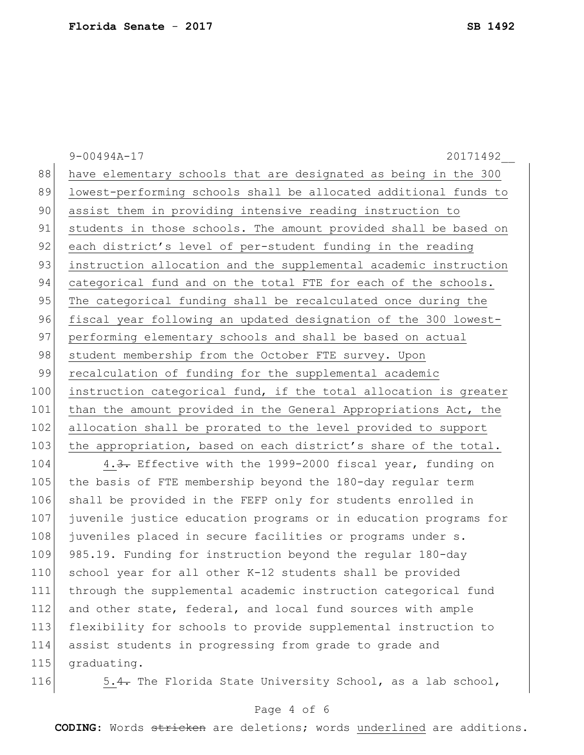9-00494A-17 20171492\_\_ 88 have elementary schools that are designated as being in the 300 89 lowest-performing schools shall be allocated additional funds to 90 assist them in providing intensive reading instruction to 91 students in those schools. The amount provided shall be based on 92 each district's level of per-student funding in the reading 93 instruction allocation and the supplemental academic instruction 94 categorical fund and on the total FTE for each of the schools. 95 The categorical funding shall be recalculated once during the 96 fiscal year following an updated designation of the 300 lowest-97 performing elementary schools and shall be based on actual 98 student membership from the October FTE survey. Upon 99 recalculation of funding for the supplemental academic 100 instruction categorical fund, if the total allocation is greater 101 than the amount provided in the General Appropriations Act, the 102 allocation shall be prorated to the level provided to support 103 the appropriation, based on each district's share of the total. 104 4.3. Effective with the 1999-2000 fiscal year, funding on 105 the basis of FTE membership beyond the 180-day regular term 106 shall be provided in the FEFP only for students enrolled in 107 juvenile justice education programs or in education programs for 108 juveniles placed in secure facilities or programs under s. 109 985.19. Funding for instruction beyond the regular 180-day 110 school year for all other K-12 students shall be provided 111 through the supplemental academic instruction categorical fund 112 and other state, federal, and local fund sources with ample

113 flexibility for schools to provide supplemental instruction to 114 assist students in progressing from grade to grade and 115 graduating.

116 5.4. The Florida State University School, as a lab school,

### Page 4 of 6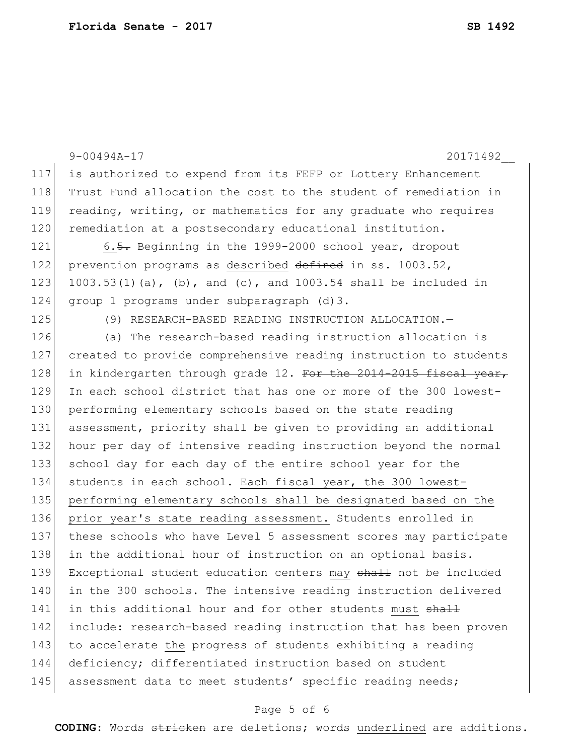|     | $9 - 00494A - 17$<br>20171492                                    |
|-----|------------------------------------------------------------------|
| 117 | is authorized to expend from its FEFP or Lottery Enhancement     |
| 118 | Trust Fund allocation the cost to the student of remediation in  |
| 119 | reading, writing, or mathematics for any graduate who requires   |
| 120 | remediation at a postsecondary educational institution.          |
| 121 | 6.5. Beginning in the 1999-2000 school year, dropout             |
| 122 | prevention programs as described defined in ss. 1003.52,         |
| 123 | 1003.53(1)(a), (b), and (c), and 1003.54 shall be included in    |
| 124 | group 1 programs under subparagraph (d) 3.                       |
| 125 | (9) RESEARCH-BASED READING INSTRUCTION ALLOCATION.-              |
| 126 | (a) The research-based reading instruction allocation is         |
| 127 | created to provide comprehensive reading instruction to students |
| 128 | in kindergarten through grade 12. For the 2014-2015 fiscal year, |
| 129 | In each school district that has one or more of the 300 lowest-  |
| 130 | performing elementary schools based on the state reading         |
| 131 | assessment, priority shall be given to providing an additional   |
| 132 | hour per day of intensive reading instruction beyond the normal  |
| 133 | school day for each day of the entire school year for the        |
| 134 | students in each school. Each fiscal year, the 300 lowest-       |
| 135 | performing elementary schools shall be designated based on the   |
| 136 | prior year's state reading assessment. Students enrolled in      |
| 137 | these schools who have Level 5 assessment scores may participate |
| 138 | in the additional hour of instruction on an optional basis.      |
| 139 | Exceptional student education centers may shall not be included  |
| 140 | in the 300 schools. The intensive reading instruction delivered  |
| 141 | in this additional hour and for other students must shall        |
| 142 | include: research-based reading instruction that has been proven |
| 143 | to accelerate the progress of students exhibiting a reading      |
| 144 | deficiency; differentiated instruction based on student          |
| 145 | assessment data to meet students' specific reading needs;        |

# Page 5 of 6